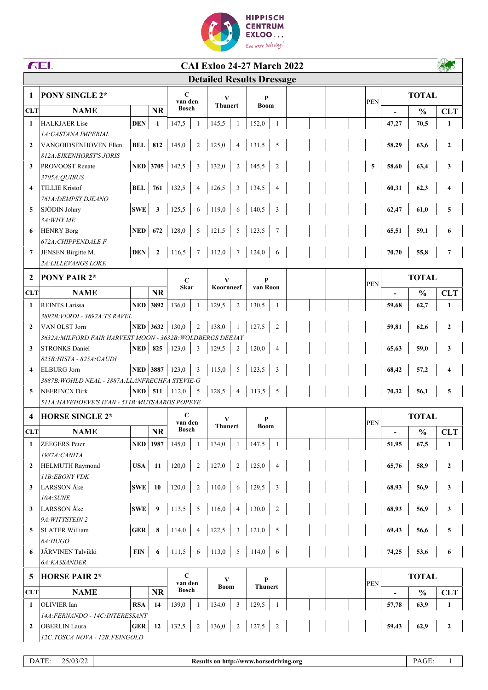

|                         | <b>FEI.</b><br><b>CAI Exloo 24-27 March 2022</b>           |                   |                   |                            |                         |                                  |                 |                     |                |  |  |               |                                   |               |                  |  |
|-------------------------|------------------------------------------------------------|-------------------|-------------------|----------------------------|-------------------------|----------------------------------|-----------------|---------------------|----------------|--|--|---------------|-----------------------------------|---------------|------------------|--|
|                         |                                                            |                   |                   |                            |                         | <b>Detailed Results Dressage</b> |                 |                     |                |  |  |               |                                   |               |                  |  |
| 1                       | PONY SINGLE 2*                                             |                   |                   |                            | $\mathbf C$             |                                  | V               |                     |                |  |  |               | <b>TOTAL</b>                      |               |                  |  |
|                         |                                                            |                   |                   |                            | van den<br><b>Bosch</b> |                                  | <b>Thunert</b>  |                     | <b>Boom</b>    |  |  | <b>PEN</b>    |                                   |               |                  |  |
| <b>CLT</b>              | <b>NAME</b>                                                |                   | <b>NR</b>         |                            |                         |                                  |                 |                     |                |  |  |               |                                   | $\frac{0}{0}$ | <b>CLT</b>       |  |
| $\mathbf{1}$            | <b>HALKJAER Lise</b>                                       | <b>DEN</b>        | 1                 | 147,5                      | -1                      | 145,5                            | $\mathbf{1}$    | 152,0               | 1              |  |  |               | 47,27                             | 70,5          | $\mathbf{1}$     |  |
| $\overline{2}$          | 1A: GASTANA IMPERIAL<br>VANGOIDSENHOVEN Ellen              | BEL               | 812               | 145,0                      |                         | 125,0                            | $\overline{4}$  | 131,5               |                |  |  |               |                                   |               |                  |  |
|                         | <b>812A: EIKENHORST'S JORIS</b>                            |                   |                   |                            | $\sqrt{2}$              |                                  |                 |                     | 5              |  |  |               | 58,29                             | 63,6          | $\boldsymbol{2}$ |  |
| 3                       | PROVOOST Renate                                            |                   | NED 3705          | 142,5                      | $\mathfrak{Z}$          | 132,0                            | $\overline{c}$  | 145,5               | $\overline{2}$ |  |  | ${\bf 5}$     | 58,60                             | 63,4          | 3                |  |
|                         | 3705A: QUIBUS                                              |                   |                   |                            |                         |                                  |                 |                     |                |  |  |               |                                   |               |                  |  |
| $\overline{\mathbf{4}}$ | <b>TILLIE Kristof</b>                                      | <b>BEL</b>        | 761               | 132,5                      | $\overline{4}$          | 126,5                            | 3               | 134,5               | 4              |  |  |               | 60,31                             | 62,3          | 4                |  |
|                         | 761A: DEMPSY DJEANO                                        |                   |                   |                            |                         |                                  |                 |                     |                |  |  |               |                                   |               |                  |  |
| 5                       | SJÖDIN Johny                                               | <b>SWE</b>        | $\mathbf{3}$      | 125,5                      | 6                       | 119,0                            | 6               | 140,5               | 3              |  |  |               | 62,47                             | 61,0          | 5                |  |
|                         | 3A: WHY ME                                                 |                   |                   |                            |                         |                                  |                 |                     |                |  |  |               |                                   |               |                  |  |
| 6                       | <b>HENRY Borg</b>                                          | NED               | 672               | 128,0                      | 5                       | 121,5                            | 5               | 123,5               | 7              |  |  |               | 65,51                             | 59,1          | 6                |  |
|                         | 672A: CHIPPENDALE F                                        |                   |                   |                            |                         |                                  |                 |                     |                |  |  |               |                                   |               |                  |  |
| $\overline{7}$          | JENSEN Birgitte M.                                         | <b>DEN</b>        | $\mathbf{2}$      | 116,5                      | $7\phantom{.0}$         | 112,0                            | $7\phantom{.0}$ | 124,0               | 6              |  |  |               | 70,70                             | 55,8          | $\overline{7}$   |  |
|                         | 2A: LILLEVANGS LOKE                                        |                   |                   |                            |                         |                                  |                 |                     |                |  |  |               |                                   |               |                  |  |
| $\mathbf{2}$            | <b>PONY PAIR 2*</b>                                        |                   |                   | $\mathbf C$<br><b>Skar</b> |                         | V<br>Koornneef                   |                 | P<br>van Roon       |                |  |  | <b>PEN</b>    |                                   | <b>TOTAL</b>  |                  |  |
| <b>CLT</b>              | <b>NAME</b>                                                |                   | <b>NR</b>         |                            |                         |                                  |                 |                     |                |  |  |               |                                   | $\frac{0}{0}$ | <b>CLT</b>       |  |
| 1                       | <b>REINTS Larissa</b>                                      | <b>NED</b> 3892   |                   | 136,0                      | 1                       | 129,5                            | $\overline{2}$  | 130,5               | 1              |  |  |               | 59,68                             | 62,7          | $\mathbf{1}$     |  |
|                         | 3892B: VERDI - 3892A: TS RAVEL                             |                   |                   |                            |                         |                                  |                 |                     |                |  |  |               |                                   |               |                  |  |
| $\overline{2}$          | VAN OLST Jorn                                              |                   | <b>NED</b> 3632   | 130,0                      | $\overline{2}$          | 138,0                            | $\mathbf{1}$    | 127,5               | $\overline{2}$ |  |  |               | 59,81                             | 62,6          | $\mathbf{2}$     |  |
|                         | 3632A: MILFORD FAIR HARVEST MOON - 3632B: WOLDBERGS DEEJAY |                   |                   |                            |                         |                                  |                 |                     |                |  |  |               |                                   |               |                  |  |
| 3                       | <b>STRONKS Daniel</b><br>825B: HISTA - 825A: GAUDI         |                   | $NED$ 825         | 123,0                      | $\mathfrak{Z}$          | 129,5                            | $\overline{2}$  | 120,0               | $\overline{4}$ |  |  |               | 65,63                             | 59,0          | 3                |  |
| $\overline{\mathbf{4}}$ | <b>ELBURG</b> Jorn                                         |                   |                   | <b>NED</b> 3887 123,0      | $\overline{\mathbf{3}}$ | 115,0                            | 5               | 123,5               | 3              |  |  |               | 68,42                             | 57,2          | 4                |  |
|                         | 3887B: WOHLD NEAL - 3887A: LLANFRECHFA STEVIE-G            |                   |                   |                            |                         |                                  |                 |                     |                |  |  |               |                                   |               |                  |  |
| 5                       | <b>NEERINCX Dirk</b>                                       | <b>NED</b><br>511 | 112,0             | 5                          | 128,5                   | $\overline{4}$                   | 113,5           | $\sqrt{5}$          |                |  |  | 70,32<br>56,1 | 5                                 |               |                  |  |
|                         | 511A: HAVEHOEVE'S IVAN - 511B: MUTSAARDS POPEYE            |                   |                   |                            |                         |                                  |                 |                     |                |  |  |               |                                   |               |                  |  |
| $\boldsymbol{4}$        | <b>HORSE SINGLE 2*</b>                                     |                   |                   | $\mathbf C$                |                         | V                                |                 | P                   |                |  |  |               |                                   | <b>TOTAL</b>  |                  |  |
| <b>CLT</b>              | <b>NAME</b>                                                |                   | <b>NR</b>         | van den<br><b>Bosch</b>    |                         | <b>Thunert</b>                   |                 | Boom                |                |  |  | PEN           |                                   | $\frac{0}{0}$ | <b>CLT</b>       |  |
| 1                       | <b>ZEEGERS</b> Peter                                       |                   | <b>NED</b>   1987 | 145,0                      | 1                       | 134,0                            | -1              | 147,5               | 1              |  |  |               | $\overline{\phantom{a}}$<br>51,95 | 67,5          | $\mathbf{1}$     |  |
|                         | 1987A: CANITA                                              |                   |                   |                            |                         |                                  |                 |                     |                |  |  |               |                                   |               |                  |  |
| $\mathbf{2}$            | <b>HELMUTH Raymond</b>                                     | USA               | <b>11</b>         | 120,0                      | $\sqrt{2}$              | 127,0                            | $\overline{2}$  | 125,0               | $\overline{4}$ |  |  |               | 65,76                             | 58,9          | $\boldsymbol{2}$ |  |
|                         | 11B:EBONY VDK                                              |                   |                   |                            |                         |                                  |                 |                     |                |  |  |               |                                   |               |                  |  |
| 3                       | <b>LARSSON</b> Åke                                         | $SWE$ 10          |                   | 120,0                      | $\sqrt{2}$              | 110,0                            | 6               | 129,5               | $\overline{3}$ |  |  |               | 68,93                             | 56,9          | 3                |  |
|                         | 10A:SUNE                                                   |                   |                   |                            |                         |                                  |                 |                     |                |  |  |               |                                   |               |                  |  |
| 3                       | LARSSON Åke                                                | <b>SWE</b>        | 9                 | 113,5                      | 5                       | 116,0                            | $\overline{4}$  | 130,0               | $\overline{2}$ |  |  |               | 68,93                             | 56,9          | $\mathbf{3}$     |  |
|                         | 9A: WITTSTEIN 2                                            |                   |                   |                            |                         |                                  |                 |                     |                |  |  |               |                                   |               |                  |  |
| 5                       | <b>SLATER William</b>                                      | <b>GER</b>        | 8                 | 114,0                      | 4                       | 122,5                            | $\mathbf{3}$    | 121,0               | 5              |  |  |               | 69,43                             | 56,6          | 5                |  |
|                         | 8A:HUGO                                                    |                   |                   |                            |                         |                                  |                 |                     |                |  |  |               |                                   |               |                  |  |
| 6                       | JÄRVINEN Talvikki<br>6A:KASSANDER                          | <b>FIN</b>        | 6                 | 111,5                      | 6                       | 113,0                            | $\overline{5}$  | 114,0               | 6              |  |  |               | 74,25                             | 53,6          | 6                |  |
|                         |                                                            |                   | $\mathbf C$       |                            |                         |                                  |                 |                     |                |  |  |               |                                   |               |                  |  |
| 5                       | <b>HORSE PAIR 2*</b>                                       |                   |                   | van den                    |                         | V<br><b>Boom</b>                 |                 | P<br><b>Thunert</b> |                |  |  | <b>PEN</b>    |                                   | <b>TOTAL</b>  |                  |  |
| <b>CLT</b>              | <b>NAME</b>                                                |                   | <b>NR</b>         | <b>Bosch</b>               |                         |                                  |                 |                     |                |  |  |               |                                   | $\frac{0}{0}$ | <b>CLT</b>       |  |
| 1                       | OLIVIER Ian                                                | <b>RSA</b>        | 14                | 139,0                      | $\mathbf{1}$            | 134,0                            | 3               | 129,5               | 1              |  |  |               | 57,78                             | 63,9          | $\mathbf{1}$     |  |
|                         | 14A:FERNANDO - 14C:INTERESSANT                             |                   |                   |                            |                         |                                  |                 |                     |                |  |  |               |                                   |               |                  |  |
| $\mathbf{2}$            | <b>OBERLIN</b> Laura                                       | <b>GER</b>        | 12                | 132,5                      | $\overline{c}$          | 136,0                            | $\overline{2}$  | 127,5               | $\sqrt{2}$     |  |  |               | 59,43                             | 62,9          | $\mathbf{2}$     |  |
|                         | 12C:TOSCA NOVA - 12B:FEINGOLD                              |                   |                   |                            |                         |                                  |                 |                     |                |  |  |               |                                   |               |                  |  |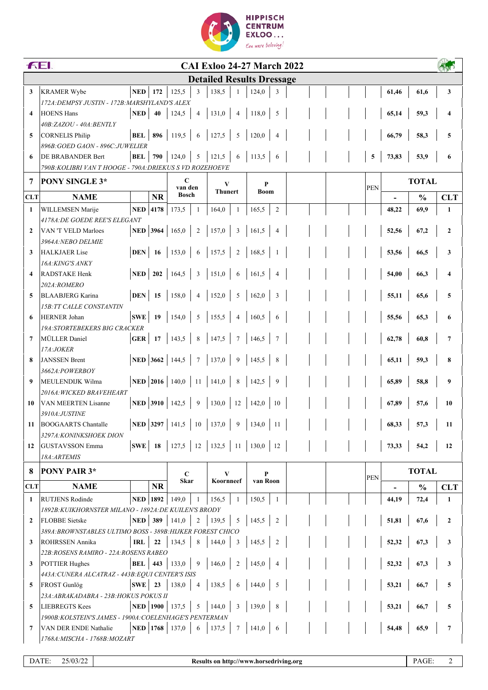

|                         | <b>FEI.</b><br><b>CAI Exloo 24-27 March 2022</b>                              |                           |                        |              |                 |                |                 |                                                        |                         |  |     |             |                                          |               |              |
|-------------------------|-------------------------------------------------------------------------------|---------------------------|------------------------|--------------|-----------------|----------------|-----------------|--------------------------------------------------------|-------------------------|--|-----|-------------|------------------------------------------|---------------|--------------|
|                         |                                                                               |                           |                        |              |                 |                |                 | <b>Detailed Results Dressage</b>                       |                         |  |     |             |                                          |               |              |
| 3                       | <b>KRAMER Wybe</b>                                                            | <b>NED</b>                | 172                    | 125,5        | 3               | 138,5          |                 | 124,0                                                  | 3                       |  |     |             | 61,46                                    | 61,6          | 3            |
|                         | 172A: DEMPSY JUSTIN - 172B: MARSHYLAND'S ALEX                                 |                           |                        |              |                 |                |                 |                                                        |                         |  |     |             |                                          |               |              |
| $\overline{\mathbf{4}}$ | <b>HOENS Hans</b>                                                             | <b>NED</b>                | 40                     | 124,5        | $\overline{4}$  | 131,0          | $\overline{4}$  | 118,0                                                  | 5                       |  |     |             | 65,14                                    | 59,3          | 4            |
|                         | 40B: ZAZOU - 40A: BENTLY                                                      |                           |                        |              |                 |                |                 |                                                        |                         |  |     |             |                                          |               |              |
| 5                       | <b>CORNELIS Philip</b>                                                        | <b>BEL</b>   896          |                        | 119,5        | 6               | 127,5          | 5               | 120,0                                                  | $\overline{4}$          |  |     |             | 66,79                                    | 58,3          | 5            |
|                         | 896B: GOED GAON - 896C: JUWELIER                                              |                           |                        |              |                 |                |                 |                                                        |                         |  |     |             |                                          |               |              |
| 6                       | DE BRABANDER Bert<br>790B: KOLIBRI VAN T HOOGE - 790A: DRIEKUS S VD ROZEHOEVE | <b>BEL</b>                |                        | 790 124,0    | $\sqrt{5}$      | 121,5          | 6               | 113,5                                                  | 6                       |  |     | $\mathbf 5$ | 73,83                                    | 53,9          | 6            |
|                         |                                                                               |                           |                        |              |                 |                |                 |                                                        |                         |  |     |             |                                          |               |              |
| 7                       | PONY SINGLE 3*                                                                |                           | $\mathbf C$<br>van den |              | V               | <b>Thunert</b> |                 |                                                        |                         |  | PEN |             | <b>TOTAL</b>                             |               |              |
| <b>CLT</b>              | <b>NAME</b>                                                                   |                           | <b>NR</b>              | <b>Bosch</b> |                 |                |                 | <b>Boom</b>                                            |                         |  |     |             |                                          | $\frac{0}{0}$ | <b>CLT</b>   |
| 1                       | WILLEMSEN Marije                                                              | NED $ 4178$               |                        | 173,5        | 1               | 164,0          | $\mathbf{1}$    | 165,5                                                  | $\sqrt{2}$              |  |     |             | 48,22                                    | 69,9          | 1            |
|                         | <i>4178A:DE GOEDE REE'S ELEGANT</i>                                           |                           |                        |              |                 |                |                 |                                                        |                         |  |     |             |                                          |               |              |
| $\mathbf{2}$            | VAN 'T VELD Marloes                                                           | <b>NED</b> 3964 165,0     |                        |              | $\sqrt{2}$      | 157,0          | $\mathbf{3}$    | 161,5                                                  | $\overline{4}$          |  |     |             | 52,56                                    | 67,2          | $\mathbf{2}$ |
|                         | 3964A: NEBO DELMIE                                                            |                           |                        |              |                 |                |                 |                                                        |                         |  |     |             |                                          |               |              |
| 3                       | <b>HALKJAER Lise</b><br>16A: KING'S ANKY                                      | <b>DEN</b>                | 16                     | 153,0        | 6               | 157,5          | $\sqrt{2}$      | 168,5                                                  | - 1                     |  |     |             | 53,56                                    | 66,5          | 3            |
| $\overline{\mathbf{4}}$ | RADSTAKE Henk                                                                 | $NED$ 202                 |                        | 164,5        | $\overline{3}$  | 151,0          | $\sqrt{6}$      | 161,5                                                  | $\overline{4}$          |  |     |             | 54,00                                    | 66,3          | 4            |
|                         | 202A:ROMERO                                                                   |                           |                        |              |                 |                |                 |                                                        |                         |  |     |             |                                          |               |              |
| 5                       | <b>BLAABJERG Karina</b>                                                       | DEN                       | 15                     | 158,0        | $\overline{4}$  | 152,0          | 5               | 162,0                                                  | $\overline{\mathbf{3}}$ |  |     |             | 55,11                                    | 65,6          | 5            |
|                         | <b>15B:TT CALLE CONSTANTIN</b>                                                |                           |                        |              |                 |                |                 |                                                        |                         |  |     |             |                                          |               |              |
| 6                       | <b>HERNER Johan</b>                                                           | SWE                       | 19                     | 154,0        | 5               | 155,5          | $\overline{4}$  | 160,5                                                  | 6                       |  |     |             | 55,56                                    | 65,3          | 6            |
|                         | <i>19A:STORTEBEKERS BIG CRACKER</i>                                           |                           |                        |              |                 |                |                 |                                                        |                         |  |     |             |                                          |               |              |
| $\overline{7}$          | MÜLLER Daniel                                                                 | GER                       | 17                     | 143,5        | $\,8\,$         | 147,5          | $\overline{7}$  | 146,5                                                  | $7\phantom{.0}$         |  |     |             | 62,78                                    | 60,8          | 7            |
|                         | 17A:JOKER                                                                     |                           |                        |              |                 |                |                 |                                                        |                         |  |     |             |                                          |               |              |
| 8                       | <b>JANSSEN Brent</b>                                                          | <b>NED</b> 3662 144,5     |                        |              | $7\phantom{.0}$ | 137,0          | $\overline{9}$  | 145,5                                                  | 8                       |  |     |             | 65,11                                    | 59,3          | 8            |
|                         | 3662A:POWERBOY                                                                |                           |                        |              |                 |                |                 |                                                        |                         |  |     |             |                                          |               |              |
| 9                       | MEULENDIJK Wilma                                                              | NED 2016 140,0            |                        |              | 11              | 141,0          | $\,$ 8 $\,$     | 142,5                                                  | 9                       |  |     |             | 65,89                                    | 58,8          | 9            |
| 10                      | 2016A:WICKED BRAVEHEART<br><b>VAN MEERTEN Lisanne</b>                         | NED 3910 142,5            |                        |              | $\overline{9}$  |                |                 | $130,0$   12   142,0                                   | 10                      |  |     |             | 67,89                                    | 57,6          | 10           |
|                         | 3910A:JUSTINE                                                                 |                           |                        |              |                 |                |                 |                                                        |                         |  |     |             |                                          |               |              |
| 11                      | <b>BOOGAARTS</b> Chantalle                                                    |                           |                        |              |                 |                |                 | <b>NED</b> 3297 141,5 10 137,0 9 134,0 11              |                         |  |     |             | $\begin{array}{ c c } 68,33 \end{array}$ | 57,3          | 11           |
|                         | 3297A: KONINKSHOEK DION                                                       |                           |                        |              |                 |                |                 |                                                        |                         |  |     |             |                                          |               |              |
| 12                      | <b>GUSTAVSSON Emma</b>                                                        |                           |                        |              |                 |                |                 | <b>SWE</b>   18   127,5   12   132,5   11   130,0   12 |                         |  |     |             | 73,33                                    | 54,2          | 12           |
|                         | 18A: ARTEMIS                                                                  |                           |                        |              |                 |                |                 |                                                        |                         |  |     |             |                                          |               |              |
| 8                       | PONY PAIR 3*                                                                  |                           |                        | $\mathbf C$  |                 | V              |                 | P                                                      |                         |  |     |             |                                          | <b>TOTAL</b>  |              |
| <b>CLT</b>              | <b>NAME</b>                                                                   |                           | <b>NR</b>              | <b>Skar</b>  |                 | Koornneef      |                 | van Roon                                               |                         |  |     | <b>PEN</b>  |                                          | $\frac{0}{0}$ | <b>CLT</b>   |
| 1                       | <b>RUTJENS Rodinde</b>                                                        | <b>NED 1892</b>           |                        | 149,0        | 1               | 156,5          | $\mathbf{1}$    | 150,5                                                  | -1                      |  |     |             | 44,19                                    | 72,4          | $\mathbf{1}$ |
|                         | 1892B:KUIKHORNSTER MILANO - 1892A:DE KUILEN'S BRODY                           |                           |                        |              |                 |                |                 |                                                        |                         |  |     |             |                                          |               |              |
| $\overline{2}$          | <b>FLOBBE</b> Sietske                                                         | <b>NED</b> 389            |                        | 141,0        | $\overline{2}$  | 139,5          | $5\overline{)}$ | 145,5                                                  | 2                       |  |     |             | 51,81                                    | 67,6          | $\mathbf{2}$ |
|                         | 389A: BROWNSTABLES ULTIMO BOSS - 389B: HIJKER FOREST CHICO                    |                           |                        |              |                 |                |                 |                                                        |                         |  |     |             |                                          |               |              |
| 3                       | ROHRSSEN Annika                                                               | <b>IRL</b>                | 22                     | 134,5        | 8               | 144,0          | 3               | 145,5                                                  | 2                       |  |     |             | 52,32                                    | 67,3          | 3            |
|                         | 22B: ROSENS RAMIRO - 22A: ROSENS RABEO                                        |                           |                        |              |                 |                |                 |                                                        |                         |  |     |             |                                          |               |              |
| 3                       | <b>POTTIER Hughes</b>                                                         | <b>BEL</b>                | 443                    | 133,0        | 9               | 146,0          | $\overline{2}$  | 145,0                                                  | $\overline{4}$          |  |     |             | 52,32                                    | 67,3          | 3            |
|                         | 443A: CUNERA ALCATRAZ - 443B: EQUI CENTER'S ISIS                              |                           |                        |              |                 |                |                 |                                                        |                         |  |     |             |                                          |               |              |
| 5                       | FROST Gunlög<br>23A: ABRAKADABRA - 23B: HOKUS POKUS II                        | SWE                       | 23                     | 138,0        | 4               | 138,5          | 6               | 144,0                                                  | 5                       |  |     |             | 53,21                                    | 66,7          | 5            |
| 5                       | <b>LIEBREGTS Kees</b>                                                         | <b>NED</b>   1900   137,5 |                        |              | 5               | 144,0          | 3               | 139,0                                                  | 8                       |  |     |             | 53,21                                    | 66,7          | 5            |
|                         | 1900B: KOLSTEIN'S JAMES - 1900A: COELENHAGE'S PENTERMAN                       |                           |                        |              |                 |                |                 |                                                        |                         |  |     |             |                                          |               |              |
| 7                       | VAN DER ENDE Nathalie                                                         | NED   1768   137,0        |                        |              | 6               | 137,5          |                 | 7   141,0                                              | $6\phantom{.}6$         |  |     |             | 54,48                                    | 65,9          | 7            |
|                         | 1768A: MISCHA - 1768B: MOZART                                                 |                           |                        |              |                 |                |                 |                                                        |                         |  |     |             |                                          |               |              |
|                         |                                                                               |                           |                        |              |                 |                |                 |                                                        |                         |  |     |             |                                          |               |              |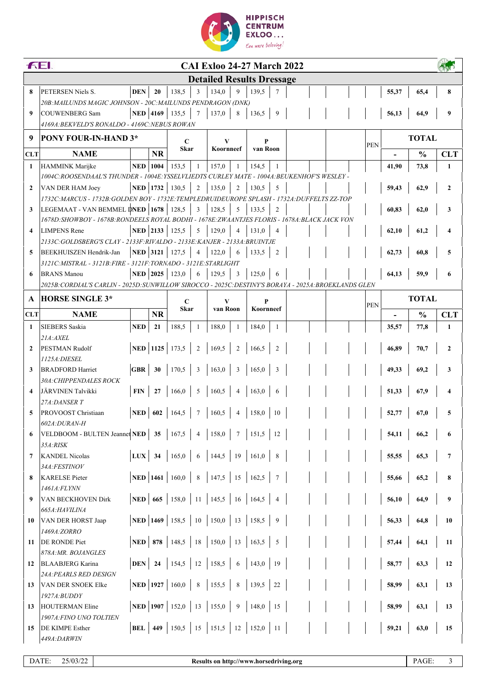

|                                  | <b>FEI.</b><br><b>CAI Exloo 24-27 March 2022</b>                                                                              |                   |              |                           |                |                        |                |                                                     |                 |  |  |  |            |              |               |                |
|----------------------------------|-------------------------------------------------------------------------------------------------------------------------------|-------------------|--------------|---------------------------|----------------|------------------------|----------------|-----------------------------------------------------|-----------------|--|--|--|------------|--------------|---------------|----------------|
| <b>Detailed Results Dressage</b> |                                                                                                                               |                   |              |                           |                |                        |                |                                                     |                 |  |  |  |            |              |               |                |
| 8                                | PETERSEN Niels S.                                                                                                             | <b>DEN</b>        | 20           | 138,5                     | 3              | 134,0                  | 9              | 139,5                                               | $\tau$          |  |  |  |            | 55,37        | 65,4          | 8              |
|                                  | 20B: MAILUNDS MAGIC JOHNSON - 20C: MAILUNDS PENDRAGON (DNK)                                                                   |                   |              |                           |                |                        |                |                                                     |                 |  |  |  |            |              |               |                |
| 9                                | <b>COUWENBERG Sam</b>                                                                                                         |                   |              | NED 4169 135,5            | $\overline{7}$ | 137,0                  | 8              | 136,5                                               | - 9             |  |  |  |            | 56,13        | 64.9          | 9              |
|                                  | 4169A: BEKVELD'S RONALDO - 4169C: NEBUS ROWAN                                                                                 |                   |              |                           |                |                        |                |                                                     |                 |  |  |  |            |              |               |                |
| 9                                | PONY FOUR-IN-HAND 3*                                                                                                          |                   |              | $\mathbf C$               |                |                        | v              |                                                     | P               |  |  |  | <b>PEN</b> |              | <b>TOTAL</b>  |                |
| <b>CLT</b>                       | <b>NAME</b>                                                                                                                   |                   | <b>NR</b>    |                           | <b>Skar</b>    |                        | Koornneef      |                                                     | van Roon        |  |  |  |            |              | $\frac{0}{0}$ | <b>CLT</b>     |
| 1                                | <b>HAMMINK</b> Marijke                                                                                                        | <b>NED</b>   1004 |              | 153,5                     | 1              | 157,0                  | -1             | 154,5                                               | 1               |  |  |  |            | 41,90        | 73,8          | 1              |
|                                  | 1004C:ROOSENDAAL'S THUNDER - 1004E:YSSELVLIEDTS CURLEY MATE - 1004A:BEUKENHOF'S WESLEY -                                      |                   |              |                           |                |                        |                |                                                     |                 |  |  |  |            |              |               |                |
| $\mathbf{2}$                     | VAN DER HAM Joey                                                                                                              |                   | NED $ 1732 $ | 130.5                     | $\overline{2}$ | 135,0                  | $\overline{2}$ | 130,5                                               | 5               |  |  |  |            | 59,43        | 62,9          | $\mathbf{2}$   |
|                                  | 1732C:MARCUS - 1732B:GOLDEN BOY - 1732E:TEMPLEDRUIDEUROPE SPLASH - 1732A:DUFFELTS ZZ-TOP                                      |                   |              |                           |                |                        |                |                                                     |                 |  |  |  |            |              |               |                |
| 3                                | LEGEMAAT - VAN BEMMEL DNED 1678<br>1678D:SHOWBOY - 1678B:RONDEELS ROYAL BODHI - 1678E:ZWAANTJES FLORIS - 1678A:BLACK JACK VON |                   |              | 128,5                     | 3              | 128,5                  | 5              | 133.5                                               | $\overline{c}$  |  |  |  |            | 60,83        | 62,0          | 3              |
| $\boldsymbol{4}$                 | <b>LIMPENS</b> Rene                                                                                                           |                   |              | NED 2133 125,5            | 5              | 129,0                  | $\overline{4}$ | 131,0                                               | $\overline{4}$  |  |  |  |            | 62,10        | 61,2          |                |
|                                  | 2133C: GOLDSBERG'S CLAY - 2133F: RIVALDO - 2133E: KANJER - 2133A: BRUINTJE                                                    |                   |              |                           |                |                        |                |                                                     |                 |  |  |  |            |              |               |                |
| 5                                | <b>BEEKHUISZEN Hendrik-Jan</b>                                                                                                |                   | NED 3121     | 127,5                     | $\overline{4}$ | 122,0                  | 6              | 133,5                                               | 2               |  |  |  |            | 62,73        | 60,8          | 5              |
|                                  | 3121C:MISTRAL - 3121B:FIRE - 3121F:TORNADO - 3121E:STARLIGHT                                                                  |                   |              |                           |                |                        |                |                                                     |                 |  |  |  |            |              |               |                |
| 6                                | <b>BRANS</b> Manou                                                                                                            |                   | NED $ 2025 $ | 123,0                     |                | 129.5                  | $\overline{3}$ | 125,0                                               | 6               |  |  |  |            | 64,13        | 59.9          | 6              |
|                                  | 2025B: CORDIAL'S CARLIN - 2025D: SUNWILLOW SIROCCO - 2025C: DESTINY'S BORAYA - 2025A: BROEKLANDS GLEN                         |                   |              |                           |                |                        |                |                                                     |                 |  |  |  |            |              |               |                |
| A                                | <b>HORSE SINGLE 3*</b>                                                                                                        |                   |              | $\mathbf C$               |                |                        | V<br>van Roon  |                                                     | P               |  |  |  | <b>PEN</b> | <b>TOTAL</b> |               |                |
| <b>CLT</b>                       | <b>NAME</b>                                                                                                                   |                   | <b>NR</b>    | <b>Skar</b>               |                |                        |                | Koornneef                                           |                 |  |  |  |            |              | $\frac{0}{0}$ | <b>CLT</b>     |
| $\mathbf{1}$                     | <b>SIEBERS</b> Saskia                                                                                                         | <b>NED</b>        | 21           | 188,5                     | 1              | 188,0                  | -1             | 184,0                                               | 1               |  |  |  |            | 35,57        | 77,8          | $\mathbf{1}$   |
|                                  | 21A: AXEL                                                                                                                     |                   |              |                           |                |                        |                |                                                     |                 |  |  |  |            |              |               |                |
| $\mathbf{2}$                     | PESTMAN Rudolf                                                                                                                |                   |              | NED   1125   173,5        | 2              | 169,5                  | $\overline{2}$ | 166,5                                               | $\overline{2}$  |  |  |  |            | 46,89        | 70,7          | $\mathbf{2}$   |
| 3                                | 1125A: DIESEL<br><b>BRADFORD Harriet</b>                                                                                      | <b>GBR</b>        | 30           | 170,5                     | 3              | 163,0                  | 3              | 165,0                                               | 3               |  |  |  |            | 49,33        | 69,2          | 3              |
|                                  | 30A: CHIPPENDALES ROCK                                                                                                        |                   |              |                           |                |                        |                |                                                     |                 |  |  |  |            |              |               |                |
| $\boldsymbol{\Lambda}$           | JÄRVINEN Talvikki                                                                                                             | <b>FIN</b>        | 27           | 166,0                     | 5              | 160,5                  | $\overline{4}$ | 163,0                                               | 6               |  |  |  |            | 51,33        | 67,9          |                |
|                                  | 27A:DANSER T                                                                                                                  |                   |              |                           |                |                        |                |                                                     |                 |  |  |  |            |              |               |                |
| 5                                | PROVOOST Christiaan                                                                                                           | NED               | 602          | 164,5                     | $\tau$         | 160,5                  | $\overline{4}$ | 158,0                                               | 10              |  |  |  |            | 52,77        | 67,0          | 5              |
|                                  | <i><b>602A:DURAN-H</b></i>                                                                                                    |                   |              |                           |                |                        |                |                                                     |                 |  |  |  |            |              |               |                |
| 6                                | VELDBOOM - BULTEN Jeannet NED   35                                                                                            |                   |              | 167,5                     | $\overline{4}$ | 158,0                  | $\overline{7}$ | 151,5                                               | 12              |  |  |  |            | 54,11        | 66,2          | 6              |
| 7                                | <i>35A:RISK</i><br><b>KANDEL Nicolas</b>                                                                                      | $LUX$ 34          |              | 165,0                     | 6              |                        |                | 144,5   19   161,0                                  | $\, 8$          |  |  |  |            | 55,55        | 65,3          | $\overline{7}$ |
|                                  | 34A:FESTINOV                                                                                                                  |                   |              |                           |                |                        |                |                                                     |                 |  |  |  |            |              |               |                |
| 8                                | <b>KARELSE</b> Pieter                                                                                                         |                   |              | <b>NED</b>   1461   160,0 | $\,$ 8 $\,$    |                        |                | 147,5   15   162,5                                  | $7\phantom{.0}$ |  |  |  |            | 55,66        | 65,2          | 8              |
|                                  | 1461A:FLYNN                                                                                                                   |                   |              |                           |                |                        |                |                                                     |                 |  |  |  |            |              |               |                |
| 9                                | VAN BECKHOVEN Dirk                                                                                                            |                   |              | <b>NED</b> 665 158,0      |                |                        |                | $11 \mid 145,5 \mid 16 \mid 164,5$                  | $\overline{4}$  |  |  |  |            | 56,10        | 64,9          | 9              |
|                                  | 665A:HAVILINA                                                                                                                 |                   |              |                           |                |                        |                |                                                     |                 |  |  |  |            |              |               |                |
| 10                               | VAN DER HORST Jaap                                                                                                            |                   |              |                           |                |                        |                | <b>NED</b>   1469   158,5   10   150,0   13   158,5 | 9               |  |  |  |            | 56,33        | 64,8          | 10             |
| 11                               | 1469A:ZORRO<br><b>DE RONDE Piet</b>                                                                                           |                   |              |                           |                |                        |                | <b>NED</b>   878   148,5   18   150,0   13   163,5  | $5\overline{)}$ |  |  |  |            | 57,44        | 64,1          | 11             |
|                                  | 878A: MR. BOJANGLES                                                                                                           |                   |              |                           |                |                        |                |                                                     |                 |  |  |  |            |              |               |                |
| 12                               | <b>BLAABJERG Karina</b>                                                                                                       |                   |              | <b>DEN</b>   24   154,5   |                | $12 \mid 158.5 \mid 6$ |                | 143,0                                               | 19              |  |  |  |            | 58,77        | 63,3          | 12             |
|                                  | 24A: PEARLS RED DESIGN                                                                                                        |                   |              |                           |                |                        |                |                                                     |                 |  |  |  |            |              |               |                |
| 13                               | VAN DER SNOEK Elke                                                                                                            |                   |              | <b>NED</b>   1927   160,0 | $\,$ 8 $\,$    | 155,5                  | $\,$ 8 $\,$    | 139,5                                               | 22              |  |  |  |            | 58,99        | 63,1          | 13             |
|                                  | 1927A:BUDDY                                                                                                                   |                   |              | NED   1907   152,0        |                |                        |                |                                                     |                 |  |  |  |            |              |               |                |
| 13                               | HOUTERMAN Eline<br>1907A: FINO UNO TOLTIEN                                                                                    |                   |              |                           | 13             | 155,0   9              |                | $ 148,0\rangle$                                     | 15              |  |  |  |            | 58,99        | 63,1          | 13             |
| 15                               | <b>DE KIMPE Esther</b>                                                                                                        |                   |              |                           |                |                        |                | <b>BEL</b>   449   150,5   15   151,5   12   152,0  | 11              |  |  |  |            | 59,21        | 63,0          | 15             |
|                                  | 449A:DARWIN                                                                                                                   |                   |              |                           |                |                        |                |                                                     |                 |  |  |  |            |              |               |                |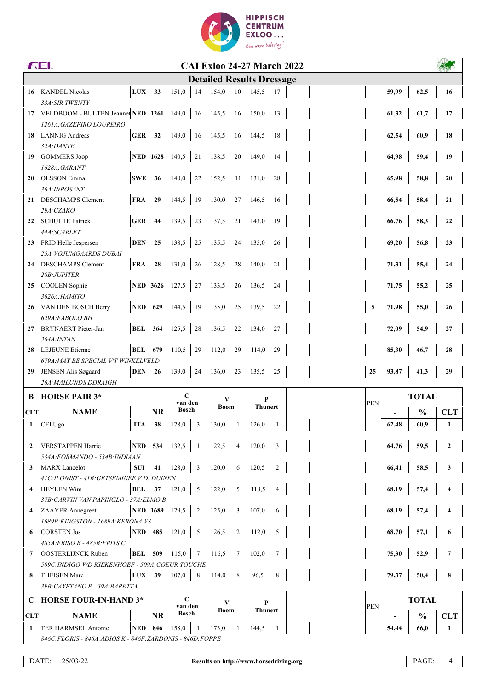

|                | <b>FEI.</b><br><b>CAI Exloo 24-27 March 2022</b>            |                  |              |                           |                 |                                  |                                             |                     |                 |  |            |              |                         |       |               |                         |
|----------------|-------------------------------------------------------------|------------------|--------------|---------------------------|-----------------|----------------------------------|---------------------------------------------|---------------------|-----------------|--|------------|--------------|-------------------------|-------|---------------|-------------------------|
|                |                                                             |                  |              |                           |                 | <b>Detailed Results Dressage</b> |                                             |                     |                 |  |            |              |                         |       |               |                         |
| 16             | <b>KANDEL Nicolas</b>                                       | ${\bf LUX}$      | 33           | 151,0                     | 14              | 154,0                            | 10                                          | 145,5               | 17              |  |            |              |                         | 59,99 | 62,5          | 16                      |
|                | 33A: SIR TWENTY                                             |                  |              |                           |                 |                                  |                                             |                     |                 |  |            |              |                         |       |               |                         |
| 17             | VELDBOOM - BULTEN Jeannet NED 1261   149,0                  |                  |              |                           | 16              | 145,5                            | 16                                          | 150,0               | 13              |  |            |              |                         | 61,32 | 61,7          | 17                      |
|                | 1261A: GAZEFIRO LOUREIRO                                    |                  |              |                           |                 |                                  |                                             |                     |                 |  |            |              |                         |       |               |                         |
| 18             | <b>LANNIG Andreas</b>                                       | GER              | 32           | 149,0                     | 16              | 145,5                            | <sup>16</sup>                               | 144,5               | 18              |  |            |              |                         | 62,54 | 60,9          | 18                      |
|                | 32A:DANTE                                                   |                  |              |                           |                 |                                  |                                             |                     |                 |  |            |              |                         |       |               |                         |
| 19             | <b>GOMMERS</b> Joop                                         |                  | NED $ 1628 $ | 140,5                     | 21              | 138,5                            | 20                                          | 149,0               | 14              |  |            |              |                         | 64,98 | 59,4          | 19                      |
|                | 1628A:GARANT                                                |                  |              |                           |                 |                                  |                                             |                     |                 |  |            |              |                         |       |               |                         |
| 20             | <b>OLSSON</b> Emma                                          | SWE              | 36           | 140,0                     | $22\,$          | 152,5                            | 11                                          | 131,0               | 28              |  |            |              |                         | 65,98 | 58,8          | 20                      |
|                | 36A: INPOSANT                                               |                  |              |                           |                 |                                  |                                             |                     |                 |  |            |              |                         |       |               |                         |
| 21             | <b>DESCHAMPS Clement</b>                                    | <b>FRA</b>       | 29           | 144,5                     | 19              | 130,0                            | 27                                          | 146,5               | 16              |  |            |              |                         | 66,54 | 58,4          | 21                      |
|                | 29A:CZAKO                                                   |                  |              |                           |                 |                                  |                                             |                     |                 |  |            |              |                         |       |               |                         |
| 22             | <b>SCHULTE Patrick</b>                                      | <b>GER</b>       | 44           | 139,5                     | 23              | 137,5                            | 21                                          | 143,0               | 19              |  |            |              |                         | 66,76 | 58,3          | 22                      |
| 23             | 44A:SCARLET<br>FRID Helle Jespersen                         | <b>DEN</b>       | 25           | 138,5                     | 25              | 135,5                            | 24                                          | 135,0               | 26              |  |            |              |                         | 69,20 | 56,8          | 23                      |
|                | 25A: VOJUMGAARDS DUBAI                                      |                  |              |                           |                 |                                  |                                             |                     |                 |  |            |              |                         |       |               |                         |
| 24             | <b>DESCHAMPS Clement</b>                                    | <b>FRA</b>       | 28           | 131,0                     | 26              | 128,5                            | 28                                          | 140,0               | 21              |  |            |              |                         | 71,31 | 55,4          | 24                      |
|                | 28B:JUPITER                                                 |                  |              |                           |                 |                                  |                                             |                     |                 |  |            |              |                         |       |               |                         |
| 25             | COOLEN Sophie                                               |                  | NED 3626     | 127,5                     | $27\,$          | 133,5                            | 26                                          | 136,5               | 24              |  |            |              |                         | 71,75 | 55,2          | 25                      |
|                | 3626А:НАМІТО                                                |                  |              |                           |                 |                                  |                                             |                     |                 |  |            |              |                         |       |               |                         |
| 26             | VAN DEN BOSCH Berry                                         | $NED$ 629        |              | 144,5                     | 19              | 135,0                            | 25                                          | 139,5               | 22              |  |            |              | $\overline{\mathbf{5}}$ | 71,98 | 55,0          | 26                      |
|                | 629A:FABOLO BH                                              |                  |              |                           |                 |                                  |                                             |                     |                 |  |            |              |                         |       |               |                         |
| 27             | <b>BRYNAERT</b> Pieter-Jan                                  | <b>BEL</b> 364   |              | 125,5                     | 28              | 136,5                            | 22                                          | 134,0               | 27              |  |            |              |                         | 72,09 | 54,9          | 27                      |
|                | 364A: INTAN                                                 |                  |              |                           |                 |                                  |                                             |                     |                 |  |            |              |                         |       |               |                         |
| 28             | <b>LEJEUNE</b> Etienne                                      | <b>BEL</b> 679   |              | 110,5                     | 29              | 112,0                            | 29                                          | 114,0               | 29              |  |            |              |                         | 85,30 | 46,7          | 28                      |
|                | 679A: MAY BE SPECIAL V'T WINKELVELD                         |                  |              |                           |                 |                                  |                                             |                     |                 |  |            |              |                         |       |               |                         |
| 29             | JENSEN Alis Søgaard                                         | <b>DEN</b>       | 26           | 139,0                     | 24              | 136,0                            | 23                                          | 135,5               | 25              |  |            |              | 25                      | 93,87 | 41,3          | 29                      |
|                | 26A: MAILUNDS DDRAIGH                                       |                  |              |                           |                 |                                  |                                             |                     |                 |  |            |              |                         |       |               |                         |
| B              | <b>HORSE PAIR 3*</b>                                        |                  |              | $\mathbf C$<br>van den    |                 | V<br>Boom                        |                                             | P<br><b>Thunert</b> |                 |  | <b>PEN</b> | <b>TOTAL</b> |                         |       |               |                         |
| <b>CLT</b>     | <b>NAME</b>                                                 |                  | <b>NR</b>    | <b>Bosch</b>              |                 |                                  |                                             |                     |                 |  |            |              |                         |       | $\frac{0}{0}$ | <b>CLT</b>              |
| $\mathbf{1}$   | CEI Ugo                                                     | ITA              | 38           | 128,0                     | 3               | 130,0                            | -1                                          | 126,0               | -1              |  |            |              |                         | 62,48 | 60,9          | $\mathbf{1}$            |
|                |                                                             |                  |              |                           |                 |                                  |                                             |                     |                 |  |            |              |                         |       |               |                         |
| $\overline{2}$ | <b>VERSTAPPEN Harrie</b>                                    |                  |              | NED   534   132,5         | -1              | 122,5                            | $\overline{4}$                              | 120,0               | $\overline{3}$  |  |            |              |                         | 64,76 | 59,5          | $\mathbf{2}$            |
|                | 534A:FORMANDO - 534B:INDIAAN                                |                  |              |                           |                 |                                  |                                             |                     |                 |  |            |              |                         |       |               |                         |
| 3              | <b>MARX</b> Lancelot                                        | SUI              | 41           | 128,0                     | $\overline{3}$  | 120,0                            | 6                                           | 120,5               | $\overline{2}$  |  |            |              |                         | 66,41 | 58,5          | 3                       |
|                | 41C:ILONIST - 41B:GETSEMINEE V.D. DUINEN                    |                  |              |                           |                 |                                  |                                             |                     |                 |  |            |              |                         |       |               |                         |
| 4              | <b>HEYLEN Wim</b><br>37B: GARVIN VAN PAPINGLO - 37A: ELMO B | BEL              | 37           | 121,0                     | $5\overline{)}$ | 122,0                            | 5                                           | 118,5               | $\overline{4}$  |  |            |              |                         | 68,19 | 57,4          | $\overline{\mathbf{4}}$ |
| 4              | <b>ZAAYER</b> Annegreet                                     |                  |              | <b>NED</b>   1689   129,5 | 2               | 125,0                            | $\overline{\mathbf{3}}$                     | 107,0               | 6               |  |            |              |                         | 68,19 | 57,4          | $\overline{\mathbf{4}}$ |
|                | 1689B: KINGSTON - 1689A: KERONA VS                          |                  |              |                           |                 |                                  |                                             |                     |                 |  |            |              |                         |       |               |                         |
| 6              | <b>CORSTEN Jos</b>                                          |                  |              | <b>NED</b>   485   121,0  | 5               | 126,5                            | 2                                           | 112,0               | $5\overline{)}$ |  |            |              |                         | 68,70 | 57,1          | 6                       |
|                | 485A:FRISO B - 485B:FRITS C                                 |                  |              |                           |                 |                                  |                                             |                     |                 |  |            |              |                         |       |               |                         |
| 7              | <b>OOSTERLIJNCK Ruben</b>                                   | <b>BEL</b>   509 |              | 115,0                     |                 | 116,5                            | $\overline{7}$                              | 102,0               | 7               |  |            |              |                         | 75,30 | 52,9          | $\overline{7}$          |
|                | 509C: INDIGO V/D KIEKENHOEF - 509A: COEUR TOUCHE            |                  |              |                           |                 |                                  |                                             |                     |                 |  |            |              |                         |       |               |                         |
| 8              | <b>THEISEN Marc</b>                                         | $_{\rm LUX}$     | 39           | 107,0                     | 8               | 114,0                            | $\begin{array}{ c c } \hline 8 \end{array}$ | 96,5                | 8               |  |            |              |                         | 79,37 | 50,4          | 8                       |
|                | 39B: CAYETANO P - 39A: BARETTA                              |                  |              |                           |                 |                                  |                                             |                     |                 |  |            |              |                         |       |               |                         |
| $\mathbf C$    | <b>HORSE FOUR-IN-HAND 3*</b>                                |                  |              | $\mathbf C$               |                 | V                                |                                             | P                   |                 |  |            |              |                         |       | <b>TOTAL</b>  |                         |
| <b>CLT</b>     | <b>NAME</b>                                                 |                  | <b>NR</b>    | van den<br>Bosch          |                 | Boom                             |                                             | <b>Thunert</b>      |                 |  |            |              | <b>PEN</b>              |       | $\frac{0}{0}$ | <b>CLT</b>              |
| 1              | TER HARMSEL Antonie                                         | <b>NED</b>       | 846          | 158,0                     | -1              | 173,0                            | $\overline{1}$                              | 144,5               | -1              |  |            |              |                         | 54,44 | 66,0          | 1                       |
|                | 846C: FLORIS - 846A: ADIOS K - 846F: ZARDONIS - 846D: FOPPE |                  |              |                           |                 |                                  |                                             |                     |                 |  |            |              |                         |       |               |                         |
|                |                                                             |                  |              |                           |                 |                                  |                                             |                     |                 |  |            |              |                         |       |               |                         |